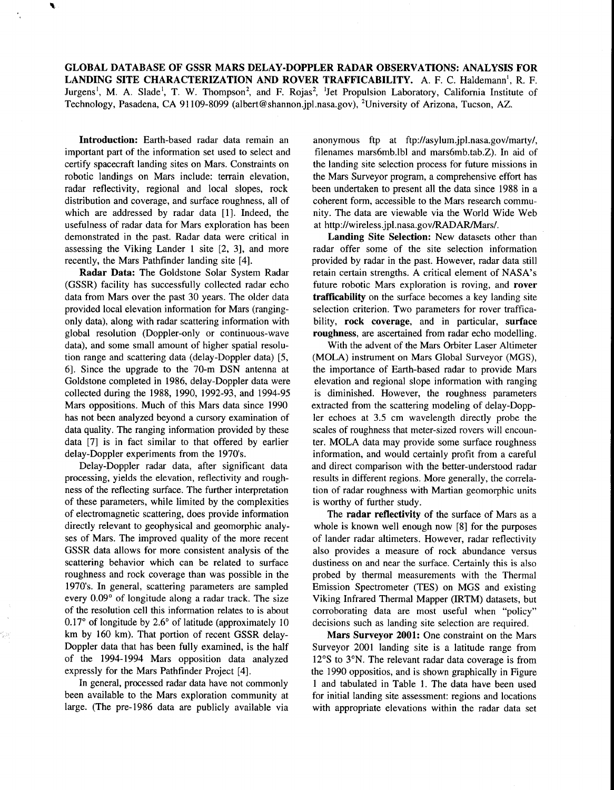**GLOBAL DATABASE OF GSSR MARS DELAY-DOPPLER RADAR OBSERVATIONS: ANALYSIS FOR LANDING SITE CHARACTERIZATION AND ROVER TRAFFICABILITY.** A. F. C. Haldemann', R. F. Jurgens<sup>1</sup>, M. A. Slade<sup>1</sup>, T. W. Thompson<sup>2</sup>, and F. Rojas<sup>2</sup>, <sup>1</sup>Jet Propulsion Laboratory, California Institute of Technology, Pasadena, CA 91 109-8099 (albert@shannon.jpl.nasa.gov), 'University of Arizona, Tucson, AZ.

**Introduction:** Earth-based radar data remain an important part of the information set used to select and certify spacecraft landing sites on Mars. Constraints on robotic landings on Mars include: terrain elevation, radar reflectivity, regional and local slopes, rock distribution and coverage, and surface roughness, all of which are addressed by radar data [1]. Indeed, the usefulness of radar data for Mars exploration has been demonstrated in the past. Radar data were critical in assessing the Viking Lander **1** site [2, 31, and more recently, the Mars Pathfinder landing site [4].

**Radar Data:** The Goldstone Solar System Radar (GSSR) facility has successfully collected radar echo data from Mars over the past 30 years. The older data provided local elevation information for Mars (rangingonly data), along with radar scattering information with global resolution (Doppler-only or continuous-wave data), and some small amount of higher spatial resolution range and scattering data (delay-Doppler data) [5, 61. Since the upgrade to the 70-m DSN antenna at Goldstone completed in 1986, delay-Doppler data were collected during the 1988, 1990, 1992-93, and 1994-95 Mars oppositions. Much of this Mars data since 1990 has not been analyzed beyond a cursory examination of data quality. The ranging information provided by these data [7] is in fact similar to that offered by earlier delay-Doppler experiments from the 1970's.

Delay-Doppler radar data, after significant data processing, yields the elevation, reflectivity and roughness of the reflecting surface. The further interpretation of these parameters, while limited by the complexities of electromagnetic scattering, does provide information directly relevant to geophysical and geomorphic analyses of Mars. The improved quality of the more recent GSSR data allows for more consistent analysis of the scattering behavior which can be related to surface roughness and rock coverage than was possible in the 1970's. In general, scattering parameters are sampled every 0.09° of longitude along a radar track. The size of the resolution cell this information relates to is about 0.17" of longitude by *2.6"* of latitude (approximately 10 km by 160 km). That portion of recent GSSR delay-Doppler data that has been fully examined, is the half of the 1994-1994 Mars opposition data analyzed expressly for the Mars Pathfinder Project [4].

In general, processed radar data have not commonly been available to the Mars exploration community at large. (The pre-1986 data are publicly available via

anonymous ftp at [ftp://asylum.jpl.nasa.gov/marty/,](ftp://asylum.jpl.nasa.gov/marty)  filenames mars6mb.lbl and mars6mb.tab.Z). In aid of the landing site selection process for future missions in the Mars Surveyor program, a comprehensive effort has been undertaken to present all the data since 1988 in a coherent form, accessible to the Mars research community. The data are viewable via the World Wide Web at http://wireless.jpl.nasa.gov/RADAR/Mars/.

**Landing Site Selection:** New datasets other than radar offer some of the site selection information provided by radar in the past. However, radar data still retain certain strengths. **A** critical element of NASA's future robotic Mars exploration is roving, and **rover trafficability** on the surface becomes a key landing site selection criterion. Two parameters for rover trafficability, **rock coverage,** and in particular, **surface roughness,** are ascertained from radar echo modelling.

With the advent of the Mars Orbiter Laser Altimeter (MOLA) instrument on Mars Global Surveyor (MGS), the importance of Earth-based radar to provide Mars elevation and regional slope information with ranging is diminished. However, the roughness parameters extracted from the scattering modeling of delay-Doppler echoes at 3.5 cm wavelength directly probe the scales of roughness that meter-sized rovers will encounter. MOLA data may provide some surface roughness information, and would certainly profit from a careful and direct comparison with the better-understood radar results in different regions. More generally, the correlation of radar roughness with Martian geomorphic units is worthy of further study.

The **radar reflectivity** of the surface of Mars as a whole is known well enough now [8] for the purposes of lander radar altimeters. However, radar reflectivity also provides a measure of rock abundance versus dustiness on and near the surface. Certainly this is also probed by thermal measurements with the Thermal Emission Spectrometer (TES) on MGS and existing Viking Infrared Thermal Mapper (IRTM) datasets, but corroborating data are most useful when "policy" decisions such as landing site selection are required.

**Mars Surveyor 2001:** One constraint on the Mars Surveyor 2001 landing site is a latitude range from 12°S to 3°N. The relevant radar data coverage is from the 1990 oppositios, and is shown graphically in Figure I and tabulated in Table 1. The data have been used for initial landing site assessment: regions and locations with appropriate elevations within the radar data set